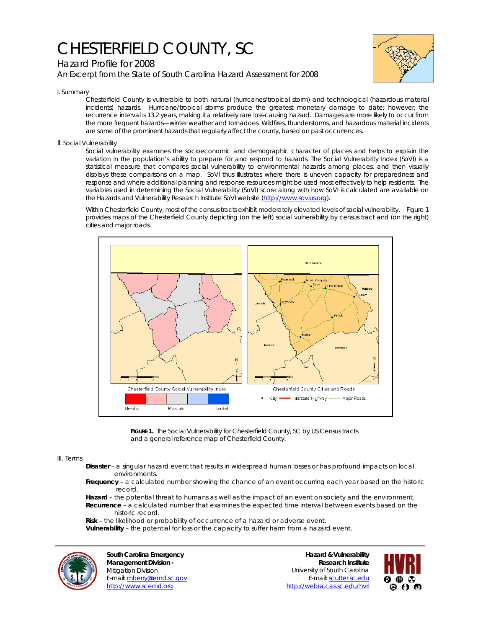## CHESTERFIELD COUNTY, SC



*An Excerpt from the State of South Carolina Hazard Assessment for 2008*



I. Summary

Chesterfield County is vulnerable to both natural (hurricanes/tropical storm) and technological (hazardous material incidents) hazards. Hurricane/tropical storms produce the greatest monetary damage to date; however, the recurrence interval is 13.2 years, making it a relatively rare loss-causing hazard. Damages are more likely to occur from the more frequent hazards—winter weather and tornadoes. Wildfires, thunderstorms, and hazardous material incidents are some of the prominent hazards that regularly affect the county, based on past occurrences.

II. Social Vulnerability

Social vulnerability examines the socioeconomic and demographic character of places and helps to explain the variation in the population's ability to prepare for and respond to hazards. The Social Vulnerability Index (SoVI) is a statistical measure that compares social vulnerability to environmental hazards among places, and then visually displays these comparisons on a map. SoVI thus illustrates where there is uneven capacity for preparedness and response and where additional planning and response resources might be used most effectively to help residents. The variables used in determining the Social Vulnerability (SoVI) score along with how SoVI is calculated are available on the Hazards and Vulnerability Research Institute SoVI website (http://www.sovius.org).

Within Chesterfield County, most of the census tracts exhibit moderately elevated levels of social vulnerability. Figure 1 provides maps of the Chesterfield County depicting (on the left) social vulnerability by census tract and (on the right) cities and major roads.



**FIGURE 1.** The Social Vulnerability for Chesterfield County, SC by US Census tracts and a general reference map of Chesterfield County.

## III. Terms

- **Disaster** a singular hazard event that results in widespread human losses or has profound impacts on local environments.
- **Frequency** a calculated number showing the chance of an event occurring each year based on the historic record.
- **Hazard** the potential threat to humans as well as the impact of an event on society and the environment.  **Recurrence** – a calculated number that examines the expected time interval between events based on the historic record.

 **Risk** – the likelihood or probability of occurrence of a hazard or adverse event.

 **Vulnerability** – the potential for loss or the capacity to suffer harm from a hazard event.



**South Carolina Emergency Management Division -**  Mitigation Division E-mail: mberry@emd.sc.gov http://www.scemd.org

**Hazard & Vulnerability Research Institute**  University of South Carolina E-mail: scutter.sc.edu http://webra.cas.sc.edu/hvri

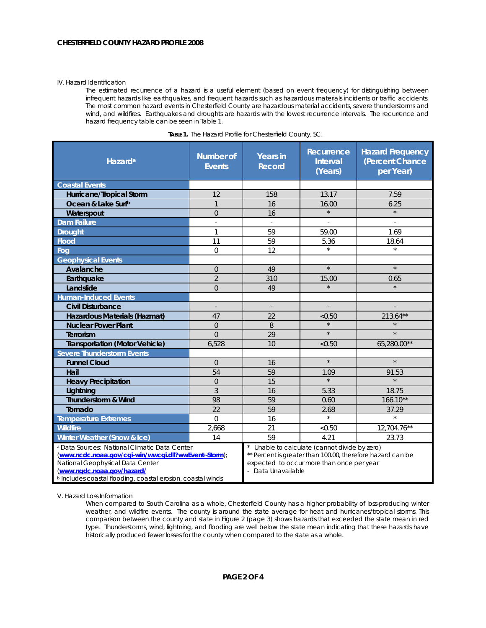## IV. Hazard Identification

The estimated recurrence of a hazard is a useful element (based on event frequency) for distinguishing between infrequent hazards like earthquakes, and frequent hazards such as hazardous materials incidents or traffic accidents. The most common hazard events in Chesterfield County are hazardous material accidents, severe thunderstorms and wind, and wildfires. Earthquakes and droughts are hazards with the lowest recurrence intervals. The recurrence and hazard frequency table can be seen in Table 1.

| Hazard <sup>a</sup>                                                                                                                                                                                                                                          | <b>Number of</b><br><b>Events</b> | <b>Years in</b><br><b>Record</b>                                                                                                                                             | Recurrence<br><b>Interval</b><br>(Years) | <b>Hazard Frequency</b><br>(Percent Chance<br>per Year) |
|--------------------------------------------------------------------------------------------------------------------------------------------------------------------------------------------------------------------------------------------------------------|-----------------------------------|------------------------------------------------------------------------------------------------------------------------------------------------------------------------------|------------------------------------------|---------------------------------------------------------|
| <b>Coastal Events</b>                                                                                                                                                                                                                                        |                                   |                                                                                                                                                                              |                                          |                                                         |
| Hurricane/Tropical Storm                                                                                                                                                                                                                                     | 12                                | 158                                                                                                                                                                          | 13.17                                    | 7.59                                                    |
| Ocean & Lake Surfb                                                                                                                                                                                                                                           | $\mathbf{1}$                      | 16                                                                                                                                                                           | 16.00                                    | 6.25                                                    |
| Waterspout                                                                                                                                                                                                                                                   | $\overline{0}$                    | 16                                                                                                                                                                           | $\star$                                  | $\star$                                                 |
| <b>Dam Failure</b>                                                                                                                                                                                                                                           | ÷,                                |                                                                                                                                                                              |                                          |                                                         |
| <b>Drought</b>                                                                                                                                                                                                                                               | 1                                 | 59                                                                                                                                                                           | 59.00                                    | 1.69                                                    |
| <b>Flood</b>                                                                                                                                                                                                                                                 | 11                                | 59                                                                                                                                                                           | 5.36                                     | 18.64                                                   |
| Fog                                                                                                                                                                                                                                                          | $\Omega$                          | 12                                                                                                                                                                           | $\star$                                  | $\star$                                                 |
| <b>Geophysical Events</b>                                                                                                                                                                                                                                    |                                   |                                                                                                                                                                              |                                          |                                                         |
| Avalanche                                                                                                                                                                                                                                                    | $\overline{0}$                    | 49                                                                                                                                                                           | $\star$                                  | $\star$                                                 |
| Earthquake                                                                                                                                                                                                                                                   | $\overline{2}$                    | 310                                                                                                                                                                          | 15.00                                    | 0.65                                                    |
| Landslide                                                                                                                                                                                                                                                    | $\overline{0}$                    | 49                                                                                                                                                                           |                                          |                                                         |
| <b>Human-Induced Events</b>                                                                                                                                                                                                                                  |                                   |                                                                                                                                                                              |                                          |                                                         |
| <b>Civil Disturbance</b>                                                                                                                                                                                                                                     |                                   | $\centerdot$                                                                                                                                                                 |                                          |                                                         |
| Hazardous Materials (Hazmat)                                                                                                                                                                                                                                 | 47                                | 22                                                                                                                                                                           | < 0.50                                   | 213.64**                                                |
| <b>Nuclear Power Plant</b>                                                                                                                                                                                                                                   | $\overline{0}$                    | 8                                                                                                                                                                            |                                          |                                                         |
| Terrorism                                                                                                                                                                                                                                                    | $\Omega$                          | 29                                                                                                                                                                           | $\star$                                  | $\star$                                                 |
| <b>Transportation (Motor Vehicle)</b>                                                                                                                                                                                                                        | 6,528                             | 10                                                                                                                                                                           | < 0.50                                   | 65,280.00**                                             |
| <b>Severe Thunderstorm Events</b>                                                                                                                                                                                                                            |                                   |                                                                                                                                                                              |                                          |                                                         |
| <b>Funnel Cloud</b>                                                                                                                                                                                                                                          | $\overline{0}$                    | 16                                                                                                                                                                           | $\star$                                  | $\star$                                                 |
| Hail                                                                                                                                                                                                                                                         | 54                                | 59                                                                                                                                                                           | 1.09                                     | 91.53                                                   |
| <b>Heavy Precipitation</b>                                                                                                                                                                                                                                   | $\Omega$                          | 15                                                                                                                                                                           | $\star$                                  | $\star$                                                 |
| Lightning                                                                                                                                                                                                                                                    | 3                                 | 16                                                                                                                                                                           | 5.33                                     | 18.75                                                   |
| Thunderstorm & Wind                                                                                                                                                                                                                                          | 98                                | 59                                                                                                                                                                           | 0.60                                     | $166.10**$                                              |
| Tornado                                                                                                                                                                                                                                                      | 22                                | 59                                                                                                                                                                           | 2.68                                     | 37.29                                                   |
| <b>Temperature Extremes</b>                                                                                                                                                                                                                                  | $\Omega$                          | 16                                                                                                                                                                           | $\star$                                  | $\star$                                                 |
| <b>Wildfire</b>                                                                                                                                                                                                                                              | 2,668                             | 21                                                                                                                                                                           | < 0.50                                   | 12,704.76**                                             |
| Winter Weather (Snow & Ice)                                                                                                                                                                                                                                  | 14                                | 59                                                                                                                                                                           | 4.21                                     | 23.73                                                   |
| <sup>a</sup> Data Sources: National Climatic Data Center<br>(www.ncdc.noaa.gov/cgi-win/wwcgi.dll?wwEvent~Storm);<br>National Geophysical Data Center<br>(www.ngdc.noaa.gov/hazard/<br><sup>b</sup> Includes coastal flooding, coastal erosion, coastal winds |                                   | Unable to calculate (cannot divide by zero)<br>** Percent is greater than 100.00, therefore hazard can be<br>expected to occur more than once per year<br>- Data Unavailable |                                          |                                                         |

V. Hazard Loss Information

When compared to South Carolina as a whole, Chesterfield County has a higher probability of loss-producing winter weather, and wildfire events. The county is around the state average for heat and hurricanes/tropical storms. This comparison between the county and state in Figure 2 (page 3) shows hazards that exceeded the state mean in red type. Thunderstorms, wind, lightning, and flooding are well below the state mean indicating that these hazards have historically produced fewer losses for the county when compared to the state as a whole.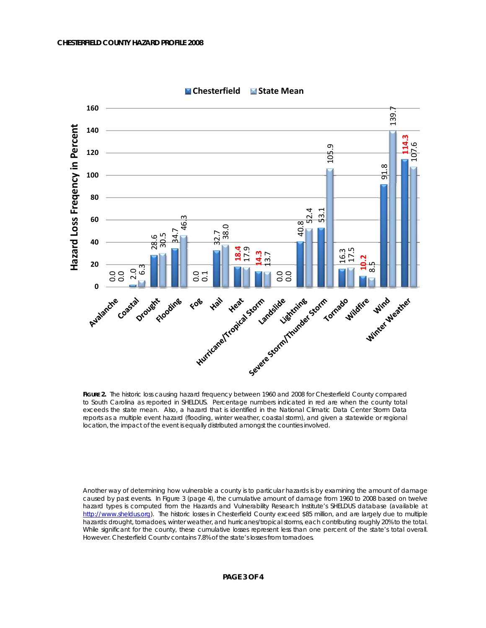

**Chesterfield State Mean**

Another way of determining how vulnerable a county is to particular hazards is by examining the amount of damage caused by past events. In Figure 3 (page 4), the cumulative amount of damage from 1960 to 2008 based on twelve hazard types is computed from the Hazards and Vulnerability Research Institute's SHELDUS database (available at http://www.sheldus.org). The historic losses in Chesterfield County exceed \$85 million, and are largely due to multiple hazards: drought, tornadoes, winter weather, and hurricanes/tropical storms, each contributing roughly 20% to the total. While significant for the county, these cumulative losses represent less than one percent of the state's total overall. However, Chesterfield County contains 7.8% of the state's losses from tornadoes.

**FIGURE 2.** The historic loss causing hazard frequency between 1960 and 2008 for Chesterfield County compared to South Carolina as reported in SHELDUS. Percentage numbers indicated in red are when the county total exceeds the state mean. Also, a hazard that is identified in the National Climatic Data Center Storm Data reports as a multiple event hazard (flooding, winter weather, coastal storm), and given a statewide or regional location, the impact of the event is equally distributed amongst the counties involved.